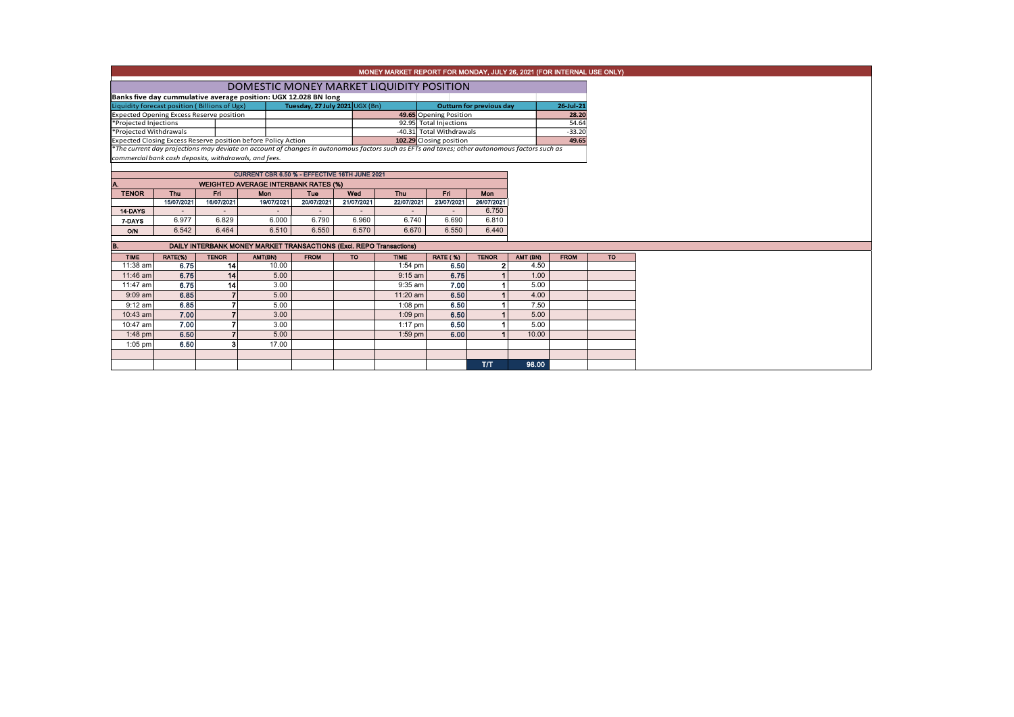|                                                                                                                                                                                                                |                                                                                                                         |                |                                                       |                                |                          | MONEY MARKET REPORT FOR MONDAY, JULY 26, 2021 (FOR INTERNAL USE ONLY) |                          |                                 |          |               |           |  |  |  |
|----------------------------------------------------------------------------------------------------------------------------------------------------------------------------------------------------------------|-------------------------------------------------------------------------------------------------------------------------|----------------|-------------------------------------------------------|--------------------------------|--------------------------|-----------------------------------------------------------------------|--------------------------|---------------------------------|----------|---------------|-----------|--|--|--|
|                                                                                                                                                                                                                |                                                                                                                         |                | DOMESTIC MONEY MARKET LIQUIDITY POSITION              |                                |                          |                                                                       |                          |                                 |          |               |           |  |  |  |
| Banks five day cummulative average position: UGX 12.028 BN long                                                                                                                                                |                                                                                                                         |                |                                                       |                                |                          |                                                                       |                          |                                 |          |               |           |  |  |  |
| Liquidity forecast position (Billions of Ugx)                                                                                                                                                                  |                                                                                                                         |                |                                                       | Tuesday, 27 July 2021 UGX (Bn) |                          |                                                                       |                          | <b>Outturn for previous day</b> |          | $26 -$ Jul-21 |           |  |  |  |
| <b>Expected Opening Excess Reserve position</b>                                                                                                                                                                |                                                                                                                         |                |                                                       | 49.65 Opening Position         |                          |                                                                       | 28.20                    |                                 |          |               |           |  |  |  |
| *Projected Injections                                                                                                                                                                                          |                                                                                                                         |                |                                                       | 92.95 Total Injections         |                          |                                                                       | 54.64<br>$-33.20$        |                                 |          |               |           |  |  |  |
| *Projected Withdrawals                                                                                                                                                                                         |                                                                                                                         |                |                                                       |                                |                          |                                                                       |                          | -40.31 Total Withdrawals        |          |               |           |  |  |  |
| Expected Closing Excess Reserve position before Policy Action<br>*The current day projections may deviate on account of changes in autonomous factors such as EFTs and taxes; other autonomous factors such as |                                                                                                                         |                |                                                       |                                |                          |                                                                       | 102.29 Closing position  |                                 |          |               |           |  |  |  |
|                                                                                                                                                                                                                |                                                                                                                         |                |                                                       |                                |                          |                                                                       |                          |                                 |          |               |           |  |  |  |
|                                                                                                                                                                                                                |                                                                                                                         |                | commercial bank cash deposits, withdrawals, and fees. |                                |                          |                                                                       |                          |                                 |          |               |           |  |  |  |
|                                                                                                                                                                                                                |                                                                                                                         |                | CURRENT CBR 6.50 % - EFFECTIVE 16TH JUNE 2021         |                                |                          |                                                                       |                          |                                 |          |               |           |  |  |  |
|                                                                                                                                                                                                                |                                                                                                                         |                |                                                       |                                |                          |                                                                       |                          |                                 |          |               |           |  |  |  |
| <b>TENOR</b>                                                                                                                                                                                                   | <b>WEIGHTED AVERAGE INTERBANK RATES (%)</b><br>Fri <sub>1</sub><br><b>Thu</b><br>Thu<br>Fri<br>Mon<br><b>Tue</b><br>Wed |                |                                                       |                                |                          |                                                                       |                          |                                 |          |               |           |  |  |  |
|                                                                                                                                                                                                                | 15/07/2021                                                                                                              | 16/07/2021     | 19/07/2021                                            | 20/07/2021                     | 21/07/2021               | 22/07/2021                                                            | 23/07/2021               | Mon<br>26/07/2021               |          |               |           |  |  |  |
| 14-DAYS                                                                                                                                                                                                        |                                                                                                                         |                | $\sim$                                                |                                | $\overline{\phantom{a}}$ | $\overline{\phantom{a}}$                                              | $\overline{\phantom{a}}$ | 6.750                           |          |               |           |  |  |  |
| 7-DAYS                                                                                                                                                                                                         | 6.977                                                                                                                   | 6.829          | 6.000                                                 | 6.790                          | 6.960                    | 6.740                                                                 | 6.690                    | 6.810                           |          |               |           |  |  |  |
| <b>O/N</b>                                                                                                                                                                                                     | 6.542                                                                                                                   | 6.464          | 6.510                                                 | 6.550                          | 6.570                    | 6.670                                                                 | 6.550                    | 6.440                           |          |               |           |  |  |  |
|                                                                                                                                                                                                                |                                                                                                                         |                |                                                       |                                |                          |                                                                       |                          |                                 |          |               |           |  |  |  |
| В.                                                                                                                                                                                                             | DAILY INTERBANK MONEY MARKET TRANSACTIONS (Excl. REPO Transactions)                                                     |                |                                                       |                                |                          |                                                                       |                          |                                 |          |               |           |  |  |  |
| <b>TIME</b>                                                                                                                                                                                                    | RATE(%)                                                                                                                 | <b>TENOR</b>   | AMT(BN)                                               | <b>FROM</b>                    | <b>TO</b>                | <b>TIME</b>                                                           | <b>RATE (%)</b>          | <b>TENOR</b>                    | AMT (BN) | <b>FROM</b>   | <b>TO</b> |  |  |  |
| 11:38 am                                                                                                                                                                                                       | 6.75                                                                                                                    | 14             | 10.00                                                 |                                |                          | 1:54 pm                                                               | 6.50                     | $\mathbf{2}$                    | 4.50     |               |           |  |  |  |
| 11:46 am                                                                                                                                                                                                       | 6.75                                                                                                                    | 14             | 5.00                                                  |                                |                          | 9:15 am                                                               | 6.75                     |                                 | 1.00     |               |           |  |  |  |
| 11:47 am                                                                                                                                                                                                       | 6.75                                                                                                                    | 14             | 3.00                                                  |                                |                          | 9:35 am                                                               | 7.00                     |                                 | 5.00     |               |           |  |  |  |
| $9:09$ am                                                                                                                                                                                                      | 6.85                                                                                                                    | $\overline{7}$ | 5.00                                                  |                                |                          | 11:20 am                                                              | 6.50                     |                                 | 4.00     |               |           |  |  |  |
| $9:12$ am                                                                                                                                                                                                      | 6.85                                                                                                                    | $\overline{7}$ | 5.00                                                  |                                |                          | 1:08 pm                                                               | 6.50                     |                                 | 7.50     |               |           |  |  |  |
| 10:43 am                                                                                                                                                                                                       | 7.00                                                                                                                    | $\overline{7}$ | 3.00                                                  |                                |                          | $1:09$ pm                                                             | 6.50                     |                                 | 5.00     |               |           |  |  |  |
| 10:47 am                                                                                                                                                                                                       | 7.00                                                                                                                    | $\overline{7}$ | 3.00                                                  |                                |                          | 1:17 pm                                                               | 6.50                     |                                 | 5.00     |               |           |  |  |  |
| $1:48$ pm                                                                                                                                                                                                      | 6.50                                                                                                                    | $\overline{7}$ | 5.00                                                  |                                |                          | $1:59$ pm                                                             | 6.00                     |                                 | 10.00    |               |           |  |  |  |
| $1:05$ pm                                                                                                                                                                                                      | 6.50                                                                                                                    | 3              | 17.00                                                 |                                |                          |                                                                       |                          |                                 |          |               |           |  |  |  |
|                                                                                                                                                                                                                |                                                                                                                         |                |                                                       |                                |                          |                                                                       |                          |                                 |          |               |           |  |  |  |
|                                                                                                                                                                                                                |                                                                                                                         |                |                                                       |                                |                          |                                                                       |                          | T/T                             | 98.00    |               |           |  |  |  |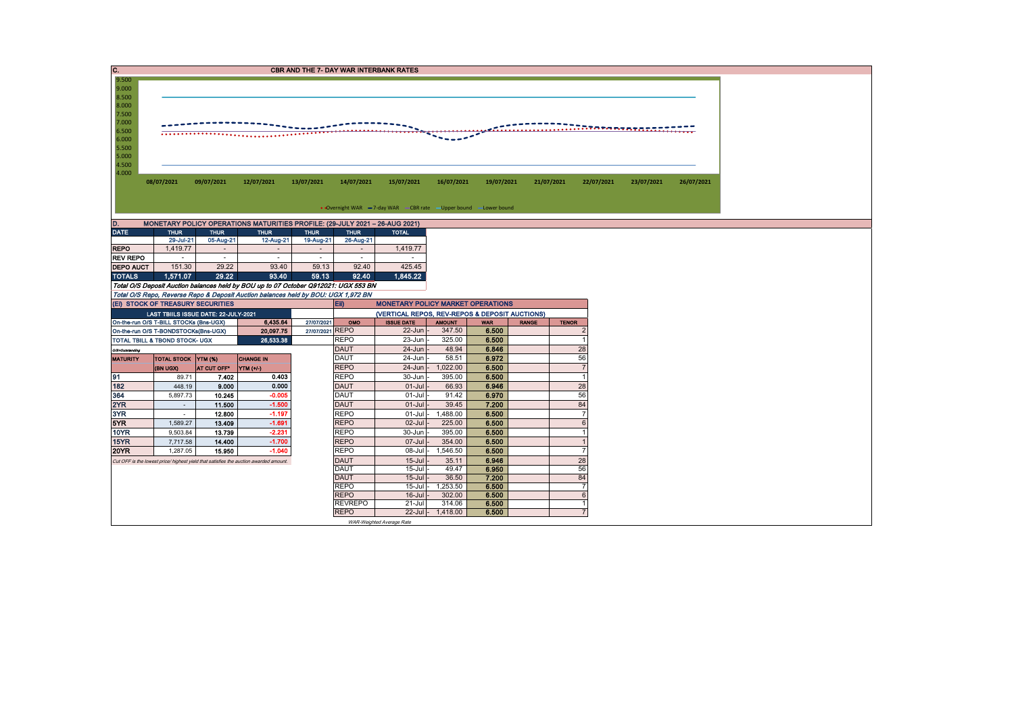| Ic.<br><b>CBR AND THE 7- DAY WAR INTERBANK RATES</b>                              |                                                                  |             |                                                                                       |                 |                               |                                                                                                                            |                             |                |            |                        |            |            |  |  |  |  |
|-----------------------------------------------------------------------------------|------------------------------------------------------------------|-------------|---------------------------------------------------------------------------------------|-----------------|-------------------------------|----------------------------------------------------------------------------------------------------------------------------|-----------------------------|----------------|------------|------------------------|------------|------------|--|--|--|--|
| 9.500                                                                             |                                                                  |             |                                                                                       |                 |                               |                                                                                                                            |                             |                |            |                        |            |            |  |  |  |  |
| 9.000                                                                             |                                                                  |             |                                                                                       |                 |                               |                                                                                                                            |                             |                |            |                        |            |            |  |  |  |  |
| 8.500                                                                             |                                                                  |             |                                                                                       |                 |                               |                                                                                                                            |                             |                |            |                        |            |            |  |  |  |  |
| 8.000                                                                             |                                                                  |             |                                                                                       |                 |                               |                                                                                                                            |                             |                |            |                        |            |            |  |  |  |  |
| 7.500                                                                             |                                                                  |             |                                                                                       |                 |                               |                                                                                                                            |                             |                |            |                        |            |            |  |  |  |  |
| 7.000<br>6.500                                                                    |                                                                  |             |                                                                                       |                 |                               |                                                                                                                            |                             |                |            | $\ldots \ldots \ldots$ |            |            |  |  |  |  |
| 6.000                                                                             |                                                                  |             |                                                                                       |                 |                               |                                                                                                                            |                             |                |            |                        |            |            |  |  |  |  |
| 5.500                                                                             |                                                                  |             |                                                                                       |                 |                               |                                                                                                                            |                             |                |            |                        |            |            |  |  |  |  |
| 5.000                                                                             |                                                                  |             |                                                                                       |                 |                               |                                                                                                                            |                             |                |            |                        |            |            |  |  |  |  |
| 4.500                                                                             |                                                                  |             |                                                                                       |                 |                               |                                                                                                                            |                             |                |            |                        |            |            |  |  |  |  |
| 4.000                                                                             |                                                                  |             |                                                                                       |                 |                               |                                                                                                                            |                             |                |            |                        |            |            |  |  |  |  |
|                                                                                   | 08/07/2021                                                       | 09/07/2021  | 12/07/2021                                                                            | 13/07/2021      | 14/07/2021                    | 15/07/2021                                                                                                                 | 16/07/2021                  | 19/07/2021     | 21/07/2021 | 22/07/2021             | 23/07/2021 | 26/07/2021 |  |  |  |  |
|                                                                                   |                                                                  |             |                                                                                       |                 |                               |                                                                                                                            |                             |                |            |                        |            |            |  |  |  |  |
|                                                                                   |                                                                  |             |                                                                                       |                 |                               |                                                                                                                            |                             |                |            |                        |            |            |  |  |  |  |
|                                                                                   |                                                                  |             |                                                                                       |                 |                               | • Overnight WAR -7-day WAR - CBR rate - Upper bound - Lower bound                                                          |                             |                |            |                        |            |            |  |  |  |  |
| D.<br>MONETARY POLICY OPERATIONS MATURITIES PROFILE: (29-JULY 2021 - 26-AUG 2021) |                                                                  |             |                                                                                       |                 |                               |                                                                                                                            |                             |                |            |                        |            |            |  |  |  |  |
| <b>DATE</b>                                                                       | <b>THUR</b>                                                      | <b>THUR</b> | <b>THUR</b>                                                                           | <b>THUR</b>     | <b>THUR</b>                   | <b>TOTAL</b>                                                                                                               |                             |                |            |                        |            |            |  |  |  |  |
|                                                                                   | 29-Jul-21                                                        | 05-Aug-21   | 12-Aug-21                                                                             | 19-Aug-21       | 26-Aug-21                     |                                                                                                                            |                             |                |            |                        |            |            |  |  |  |  |
| <b>REPO</b>                                                                       | 1,419.77                                                         | $\sim$      | $\overline{\phantom{a}}$                                                              | $\sim$          | $\sim$                        | 1,419.77                                                                                                                   |                             |                |            |                        |            |            |  |  |  |  |
| <b>REV REPO</b>                                                                   | $\sim$                                                           | $\sim$      | $\sim$                                                                                | $\sim$          | $\sim$                        |                                                                                                                            |                             |                |            |                        |            |            |  |  |  |  |
| <b>DEPO AUCT</b>                                                                  | 151.30                                                           | 29.22       | 93.40                                                                                 | 59.13           | 92.40                         | 425.45                                                                                                                     |                             |                |            |                        |            |            |  |  |  |  |
| <b>TOTALS</b>                                                                     | 1,571.07                                                         | 29.22       | 93.40                                                                                 | 59.13           | 92.40                         | 1,845.22                                                                                                                   |                             |                |            |                        |            |            |  |  |  |  |
|                                                                                   |                                                                  |             | Total O/S Deposit Auction balances held by BOU up to 07 October Q912021: UGX 553 BN   |                 |                               |                                                                                                                            |                             |                |            |                        |            |            |  |  |  |  |
|                                                                                   |                                                                  |             | Total O/S Repo, Reverse Repo & Deposit Auction balances held by BOU: UGX 1,972 BN     |                 |                               |                                                                                                                            |                             |                |            |                        |            |            |  |  |  |  |
|                                                                                   | (Ei) STOCK OF TREASURY SECURITIES                                |             |                                                                                       |                 | Eii)                          | <b>MONETARY POLICY MARKET OPERATIONS</b>                                                                                   |                             |                |            |                        |            |            |  |  |  |  |
|                                                                                   | LAST TBIILS ISSUE DATE: 22-JULY-2021                             |             |                                                                                       |                 |                               | (VERTICAL REPOS, REV-REPOS & DEPOSIT AUCTIONS)                                                                             |                             |                |            |                        |            |            |  |  |  |  |
|                                                                                   |                                                                  |             | 6,435.64                                                                              | 27/07/2021      | OMO                           | On-the-run O/S T-BILL STOCKs (Bns-UGX)<br><b>ISSUE DATE</b><br><b>AMOUNT</b><br><b>TENOR</b><br><b>WAR</b><br><b>RANGE</b> |                             |                |            |                        |            |            |  |  |  |  |
|                                                                                   | On-the-run O/S T-BONDSTOCKs(Bns-UGX)                             |             | 20,097.75                                                                             | 27/07/2021 REPO |                               |                                                                                                                            |                             |                |            |                        |            |            |  |  |  |  |
|                                                                                   | TOTAL TBILL & TBOND STOCK- UGX                                   |             |                                                                                       |                 |                               | $22$ -Jun                                                                                                                  | 347.50                      | 6.500          |            | $\overline{2}$         |            |            |  |  |  |  |
|                                                                                   | <b>DAUT</b><br>24-Jun<br>48.94<br>6.846<br>28<br>O/S=Outstanding |             |                                                                                       |                 |                               |                                                                                                                            |                             |                |            |                        |            |            |  |  |  |  |
| <b>MATURITY</b>                                                                   |                                                                  |             | 26.533.38                                                                             |                 | <b>REPO</b>                   | 23-Jun                                                                                                                     | 325.00                      | 6.500          |            | $\overline{1}$         |            |            |  |  |  |  |
|                                                                                   | TOTAL STOCK YTM (%)                                              |             | <b>CHANGE IN</b>                                                                      |                 | <b>DAUT</b>                   | 24-Jun                                                                                                                     | 58.51                       | 6.972          |            | 56                     |            |            |  |  |  |  |
|                                                                                   | (BN UGX)                                                         | AT CUT OFF* | NTM(1)                                                                                |                 | <b>REPO</b>                   | $24$ -Jun                                                                                                                  | 1,022.00                    | 6.500          |            | $\overline{7}$         |            |            |  |  |  |  |
| 91                                                                                | 89.71                                                            | 7.402       | 0.403                                                                                 |                 | <b>REPO</b>                   | 30-Jun                                                                                                                     | 395.00                      | 6.500          |            | $\overline{1}$         |            |            |  |  |  |  |
| 182                                                                               | 448.19                                                           | 9.000       | 0.000                                                                                 |                 | <b>DAUT</b>                   | $01-Jul$                                                                                                                   | 66.93                       | 6.946          |            | 28                     |            |            |  |  |  |  |
| 364                                                                               | 5,897.73                                                         | 10.245      | $-0.005$                                                                              |                 | <b>DAUT</b>                   | 01-Jul                                                                                                                     | 91.42                       | 6.970          |            | 56                     |            |            |  |  |  |  |
| 2YR                                                                               | $\sim$                                                           | 11.500      | $-1.500$                                                                              |                 | <b>DAUT</b>                   | $01-Jul$                                                                                                                   | 39.45                       | 7.200          |            | 84                     |            |            |  |  |  |  |
| 3YR                                                                               | $\sim$                                                           | 12,800      | $-1.197$                                                                              |                 | <b>REPO</b>                   | 01-Jul                                                                                                                     | 1,488.00                    | 6.500          |            | $\overline{7}$         |            |            |  |  |  |  |
| 5YR                                                                               | 1,589.27                                                         | 13.409      | $-1.691$                                                                              |                 | <b>REPO</b>                   | $02 -$ Jul                                                                                                                 | 225.00                      | 6.500          |            | $6 \overline{6}$       |            |            |  |  |  |  |
| 10YR                                                                              | 9,503.84                                                         | 13.739      | $-2.231$                                                                              |                 | <b>REPO</b>                   | 30-Jun                                                                                                                     | 395.00                      | 6.500          |            |                        |            |            |  |  |  |  |
| 15YR                                                                              | 7,717.58                                                         | 14.400      | $-1.700$                                                                              |                 | <b>REPO</b>                   | 07-Jul                                                                                                                     | 354.00                      | 6.500          |            |                        |            |            |  |  |  |  |
| 20YR                                                                              | 1,287.05                                                         | 15.950      | $-1.040$                                                                              |                 | <b>REPO</b>                   | 08-Jul                                                                                                                     | 1,546.50                    | 6.500          |            | $\overline{7}$         |            |            |  |  |  |  |
|                                                                                   |                                                                  |             | Cut OFF is the lowest price/ highest yield that satisfies the auction awarded amount. |                 | <b>DAUT</b>                   | $15 -$ Jul                                                                                                                 | 35.11                       | 6.946          |            | 28                     |            |            |  |  |  |  |
|                                                                                   |                                                                  |             |                                                                                       |                 | <b>DAUT</b>                   | $15 -$ Jul                                                                                                                 | 49.47                       | 6.950          |            | 56                     |            |            |  |  |  |  |
|                                                                                   |                                                                  |             |                                                                                       |                 | <b>DAUT</b>                   | $15 -$ Jul                                                                                                                 | 36.50                       | 7.200          |            | 84                     |            |            |  |  |  |  |
|                                                                                   |                                                                  |             |                                                                                       |                 | <b>REPO</b>                   | $15 -$ Jul                                                                                                                 | 1,253.50                    | 6.500          |            | $\overline{7}$         |            |            |  |  |  |  |
|                                                                                   |                                                                  |             |                                                                                       |                 | <b>REPO</b>                   | $16$ -Jul                                                                                                                  | 302.00                      | 6.500          |            | $6\phantom{1}$<br>1    |            |            |  |  |  |  |
|                                                                                   |                                                                  |             |                                                                                       |                 | <b>REVREPO</b><br><b>REPO</b> | $21 -$ Jul                                                                                                                 | 314.06<br>22-Jul - 1,418.00 | 6.500<br>6.500 |            | $\overline{7}$         |            |            |  |  |  |  |